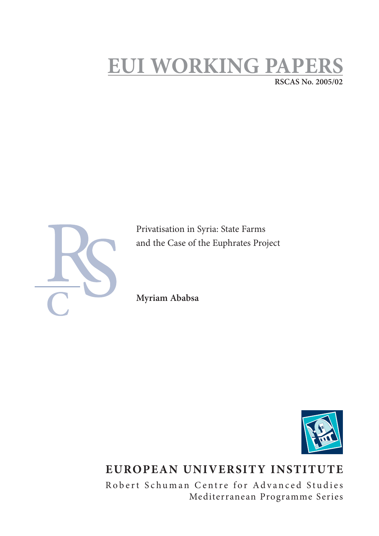# **EUI WORKING PAPI RSCAS No. 2005/02**



Privatisation in Syria: State Farms and the Case of the Euphrates Project

**Myriam Ababsa**



# **EUROPEAN UNIVERSITY INSTITUTE**

Robert Schuman Centre for Advanced Studies Mediterranean Programme Series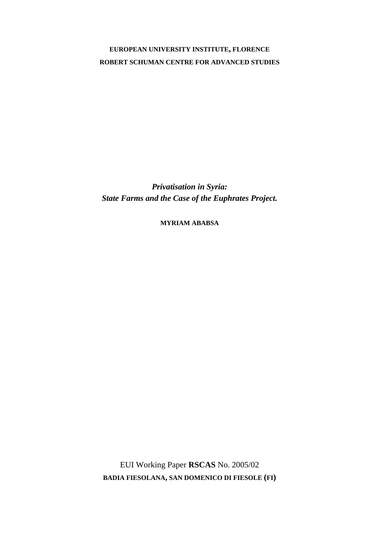# **EUROPEAN UNIVERSITY INSTITUTE, FLORENCE ROBERT SCHUMAN CENTRE FOR ADVANCED STUDIES**

*Privatisation in Syria: State Farms and the Case of the Euphrates Project.* 

**MYRIAM ABABSA**

EUI Working Paper **RSCAS** No. 2005/02 **BADIA FIESOLANA, SAN DOMENICO DI FIESOLE (FI)**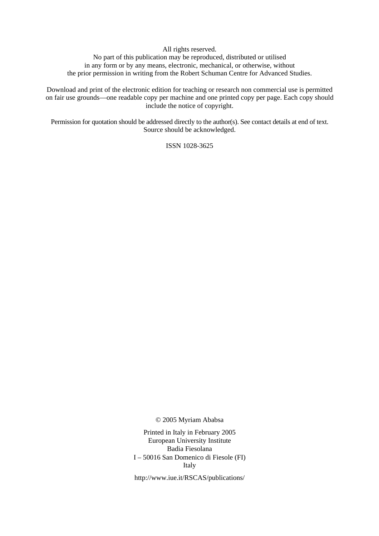All rights reserved.

No part of this publication may be reproduced, distributed or utilised in any form or by any means, electronic, mechanical, or otherwise, without the prior permission in writing from the Robert Schuman Centre for Advanced Studies.

Download and print of the electronic edition for teaching or research non commercial use is permitted on fair use grounds—one readable copy per machine and one printed copy per page. Each copy should include the notice of copyright.

Permission for quotation should be addressed directly to the author(s). See contact details at end of text. Source should be acknowledged.

ISSN 1028-3625

© 2005 Myriam Ababsa

Printed in Italy in February 2005 European University Institute Badia Fiesolana I – 50016 San Domenico di Fiesole (FI) Italy

http://www.iue.it/RSCAS/publications/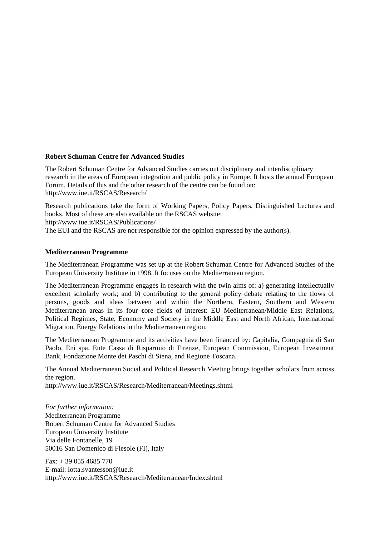### **Robert Schuman Centre for Advanced Studies**

The Robert Schuman Centre for Advanced Studies carries out disciplinary and interdisciplinary research in the areas of European integration and public policy in Europe. It hosts the annual European Forum. Details of this and the other research of the centre can be found on: http://www.iue.it/RSCAS/Research/

Research publications take the form of Working Papers, Policy Papers, Distinguished Lectures and books. Most of these are also available on the RSCAS website: http://www.iue.it/RSCAS/Publications/

The EUI and the RSCAS are not responsible for the opinion expressed by the author(s).

#### **Mediterranean Programme**

The Mediterranean Programme was set up at the Robert Schuman Centre for Advanced Studies of the European University Institute in 1998. It focuses on the Mediterranean region.

The Mediterranean Programme engages in research with the twin aims of: a) generating intellectually excellent scholarly work; and b) contributing to the general policy debate relating to the flows of persons, goods and ideas between and within the Northern, Eastern, Southern and Western Mediterranean areas in its four **c**ore fields of interest: EU–Mediterranean/Middle East Relations, Political Regimes, State, Economy and Society in the Middle East and North African, International Migration, Energy Relations in the Mediterranean region.

The Mediterranean Programme and its activities have been financed by: Capitalia, Compagnia di San Paolo, Eni spa, Ente Cassa di Risparmio di Firenze, European Commission, European Investment Bank, Fondazione Monte dei Paschi di Siena, and Regione Toscana.

The Annual Mediterranean Social and Political Research Meeting brings together scholars from across the region.

http://www.iue.it/RSCAS/Research/Mediterranean/Meetings.shtml

*For further information:*  Mediterranean Programme Robert Schuman Centre for Advanced Studies European University Institute Via delle Fontanelle, 19 50016 San Domenico di Fiesole (FI), Italy

 $Fax: + 390554685770$ E-mail: lotta.svantesson@iue.it http://www.iue.it/RSCAS/Research/Mediterranean/Index.shtml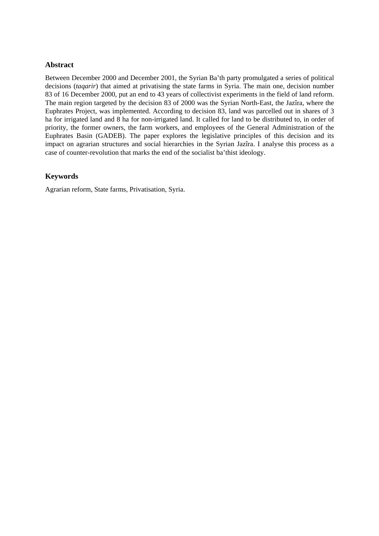# **Abstract**

Between December 2000 and December 2001, the Syrian Ba'th party promulgated a series of political decisions (*taqarir*) that aimed at privatising the state farms in Syria. The main one, decision number 83 of 16 December 2000, put an end to 43 years of collectivist experiments in the field of land reform. The main region targeted by the decision 83 of 2000 was the Syrian North-East, the Jazîra, where the Euphrates Project, was implemented. According to decision 83, land was parcelled out in shares of 3 ha for irrigated land and 8 ha for non-irrigated land. It called for land to be distributed to, in order of priority, the former owners, the farm workers, and employees of the General Administration of the Euphrates Basin (GADEB). The paper explores the legislative principles of this decision and its impact on agrarian structures and social hierarchies in the Syrian Jazîra. I analyse this process as a case of counter-revolution that marks the end of the socialist ba'thist ideology.

# **Keywords**

Agrarian reform, State farms, Privatisation, Syria.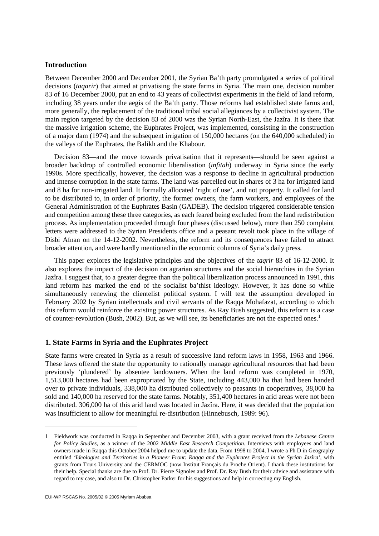# **Introduction**

Between December 2000 and December 2001, the Syrian Ba'th party promulgated a series of political decisions (*taqarir*) that aimed at privatising the state farms in Syria. The main one, decision number 83 of 16 December 2000, put an end to 43 years of collectivist experiments in the field of land reform, including 38 years under the aegis of the Ba'th party. Those reforms had established state farms and, more generally, the replacement of the traditional tribal social allegiances by a collectivist system. The main region targeted by the decision 83 of 2000 was the Syrian North-East, the Jazîra. It is there that the massive irrigation scheme, the Euphrates Project, was implemented, consisting in the construction of a major dam (1974) and the subsequent irrigation of 150,000 hectares (on the 640,000 scheduled) in the valleys of the Euphrates, the Balikh and the Khabour.

Decision 83—and the move towards privatisation that it represents—should be seen against a broader backdrop of controlled economic liberalisation (*infitah*) underway in Syria since the early 1990s. More specifically, however, the decision was a response to decline in agricultural production and intense corruption in the state farms. The land was parcelled out in shares of 3 ha for irrigated land and 8 ha for non-irrigated land. It formally allocated 'right of use', and not property. It called for land to be distributed to, in order of priority, the former owners, the farm workers, and employees of the General Administration of the Euphrates Basin (GADEB). The decision triggered considerable tension and competition among these three categories, as each feared being excluded from the land redistribution process. As implementation proceeded through four phases (discussed below), more than 250 complaint letters were addressed to the Syrian Presidents office and a peasant revolt took place in the village of Disbi Afnan on the 14-12-2002. Nevertheless, the reform and its consequences have failed to attract broader attention, and were hardly mentioned in the economic columns of Syria's daily press.

This paper explores the legislative principles and the objectives of the *taqrir* 83 of 16-12-2000. It also explores the impact of the decision on agrarian structures and the social hierarchies in the Syrian Jazîra. I suggest that, to a greater degree than the political liberalization process announced in 1991, this land reform has marked the end of the socialist ba'thist ideology. However, it has done so while simultaneously renewing the clientelist political system. I will test the assumption developed in February 2002 by Syrian intellectuals and civil servants of the Raqqa Mohafazat, according to which this reform would reinforce the existing power structures. As Ray Bush suggested, this reform is a case of counter-revolution (Bush, 2002). But, as we will see, its beneficiaries are not the expected ones.<sup>1</sup>

#### **1. State Farms in Syria and the Euphrates Project**

State farms were created in Syria as a result of successive land reform laws in 1958, 1963 and 1966. These laws offered the state the opportunity to rationally manage agricultural resources that had been previously 'plundered' by absentee landowners. When the land reform was completed in 1970, 1,513,000 hectares had been expropriated by the State, including 443,000 ha that had been handed over to private individuals, 338,000 ha distributed collectively to peasants in cooperatives, 38,000 ha sold and 140,000 ha reserved for the state farms. Notably, 351,400 hectares in arid areas were not been distributed. 306,000 ha of this arid land was located in Jazîra. Here, it was decided that the population was insufficient to allow for meaningful re-distribution (Hinnebusch, 1989: 96).

<sup>1</sup> Fieldwork was conducted in Raqqa in September and December 2003, with a grant received from the *Lebanese Centre for Policy Studies*, as a winner of the 2002 *Middle East Research Competition*. Interviews with employees and land owners made in Raqqa this October 2004 helped me to update the data. From 1998 to 2004, I wrote a Ph D in Geography entitled *'Ideologies and Territories in a Pioneer Front: Raqqa and the Euphrates Project in the Syrian Jazîra'*, with grants from Tours University and the CERMOC (now Institut Français du Proche Orient). I thank these institutions for their help. Special thanks are due to Prof. Dr. Pierre Signoles and Prof. Dr. Ray Bush for their advice and assistance with regard to my case, and also to Dr. Christopher Parker for his suggestions and help in correcting my English.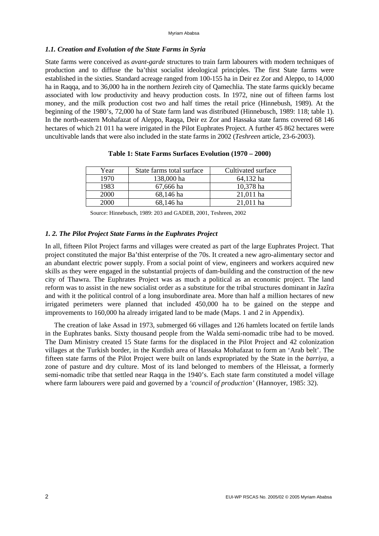#### *1.1. Creation and Evolution of the State Farms in Syria*

State farms were conceived as *avant-garde* structures to train farm labourers with modern techniques of production and to diffuse the ba'thist socialist ideological principles. The first State farms were established in the sixties. Standard acreage ranged from 100-155 ha in Deir ez Zor and Aleppo, to 14,000 ha in Raqqa, and to 36,000 ha in the northern Jezireh city of Qamechlia. The state farms quickly became associated with low productivity and heavy production costs. In 1972, nine out of fifteen farms lost money, and the milk production cost two and half times the retail price (Hinnebush, 1989). At the beginning of the 1980's, 72,000 ha of State farm land was distributed (Hinnebusch, 1989: 118; table 1). In the north-eastern Mohafazat of Aleppo, Raqqa, Deir ez Zor and Hassaka state farms covered 68 146 hectares of which 21 011 ha were irrigated in the Pilot Euphrates Project. A further 45 862 hectares were uncultivable lands that were also included in the state farms in 2002 (*Teshreen* article, 23-6-2003).

| Year        | State farms total surface | Cultivated surface |
|-------------|---------------------------|--------------------|
| 1970        | 138,000 ha                | 64,132 ha          |
| 1983        | 67,666 ha                 | 10,378 ha          |
| <b>2000</b> | 68,146 ha                 | $21,011$ ha        |
| 2000        | 68,146 ha                 | 21,011 ha          |

#### **Table 1: State Farms Surfaces Evolution (1970 – 2000)**

Source: Hinnebusch, 1989: 203 and GADEB, 2001, Teshreen, 2002

#### *1. 2. The Pilot Project State Farms in the Euphrates Project*

In all, fifteen Pilot Project farms and villages were created as part of the large Euphrates Project. That project constituted the major Ba'thist enterprise of the 70s. It created a new agro-alimentary sector and an abundant electric power supply. From a social point of view, engineers and workers acquired new skills as they were engaged in the substantial projects of dam-building and the construction of the new city of Thawra. The Euphrates Project was as much a political as an economic project. The land reform was to assist in the new socialist order as a substitute for the tribal structures dominant in Jazîra and with it the political control of a long insubordinate area. More than half a million hectares of new irrigated perimeters were planned that included 450,000 ha to be gained on the steppe and improvements to 160,000 ha already irrigated land to be made (Maps. 1 and 2 in Appendix).

The creation of lake Assad in 1973, submerged 66 villages and 126 hamlets located on fertile lands in the Euphrates banks. Sixty thousand people from the Walda semi-nomadic tribe had to be moved. The Dam Ministry created 15 State farms for the displaced in the Pilot Project and 42 colonization villages at the Turkish border, in the Kurdish area of Hassaka Mohafazat to form an 'Arab belt'. The fifteen state farms of the Pilot Project were built on lands expropriated by the State in the *barriya*, a zone of pasture and dry culture. Most of its land belonged to members of the Hleissat, a formerly semi-nomadic tribe that settled near Raqqa in the 1940's. Each state farm constituted a model village where farm labourers were paid and governed by a *'council of production'* (Hannoyer, 1985: 32).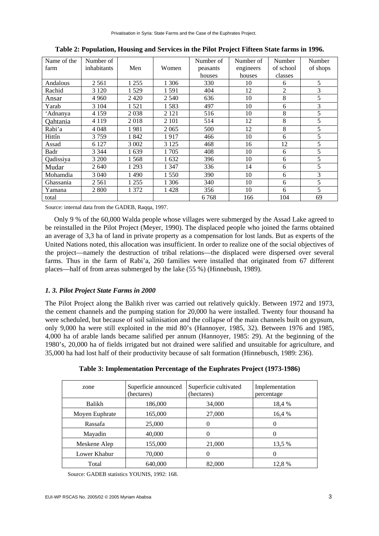| Name of the | Number of   |         |         | Number of | Number of | Number    | Number   |
|-------------|-------------|---------|---------|-----------|-----------|-----------|----------|
| farm        | inhabitants | Men     | Women   | peasants  | engineers | of school | of shops |
|             |             |         |         | houses    | houses    | classes   |          |
| Andalous    | 2 5 6 1     | 1 2 5 5 | 1 3 0 6 | 330       | 10        | 6         | 5        |
| Rachid      | 3 1 2 0     | 1529    | 1591    | 404       | 12        | 2         | 3        |
| Ansar       | 4 9 6 0     | 2420    | 2 540   | 636       | 10        | 8         | 5        |
| Yarab       | 3 1 0 4     | 1 5 2 1 | 1583    | 497       | 10        | 6         | 3        |
| 'Adnanya    | 4 1 5 9     | 2038    | 2 1 2 1 | 516       | 10        | 8         | 5        |
| Qahtania    | 4 1 1 9     | 2018    | 2 1 0 1 | 514       | 12        | 8         | 5        |
| Rabi'a      | 4 0 4 8     | 1981    | 2065    | 500       | 12        | 8         | 5        |
| Hittîn      | 3759        | 1842    | 1917    | 466       | 10        | 6         | 5        |
| Assad       | 6 1 2 7     | 3 0 0 2 | 3 1 2 5 | 468       | 16        | 12        | 5        |
| Badr        | 3 3 4 4     | 1639    | 1 705   | 408       | 10        | 6         | 5        |
| Qadissiya   | 3 200       | 1568    | 1632    | 396       | 10        | 6         | 5        |
| Mudar       | 2640        | 1 2 9 3 | 1 3 4 7 | 336       | 14        | 6         | 5        |
| Mohamdia    | 3 0 4 0     | 1490    | 1 5 5 0 | 390       | 10        | 6         | 3        |
| Ghassania   | 2 5 6 1     | 1 2 5 5 | 1 306   | 340       | 10        | 6         | 5        |
| Yamana      | 2 800       | 1 372   | 1428    | 356       | 10        | 6         | 5        |
| total       |             |         |         | 6768      | 166       | 104       | 69       |

**Table 2: Population, Housing and Services in the Pilot Project Fifteen State farms in 1996.** 

Source: internal data from the GADEB, Raqqa, 1997.

Only 9 % of the 60,000 Walda people whose villages were submerged by the Assad Lake agreed to be reinstalled in the Pilot Project (Meyer, 1990). The displaced people who joined the farms obtained an average of 3,3 ha of land in private property as a compensation for lost lands. But as experts of the United Nations noted, this allocation was insufficient. In order to realize one of the social objectives of the project—namely the destruction of tribal relations—the displaced were dispersed over several farms. Thus in the farm of Rabi'a, 260 families were installed that originated from 67 different places—half of from areas submerged by the lake (55 %) (Hinnebush, 1989).

# *1. 3. Pilot Project State Farms in 2000*

The Pilot Project along the Balikh river was carried out relatively quickly. Between 1972 and 1973, the cement channels and the pumping station for 20,000 ha were installed. Twenty four thousand ha were scheduled, but because of soil salinisation and the collapse of the main channels built on gypsum, only 9,000 ha were still exploited in the mid 80's (Hannoyer, 1985, 32). Between 1976 and 1985, 4,000 ha of arable lands became salified per annum (Hannoyer, 1985: 29). At the beginning of the 1980's, 20,000 ha of fields irrigated but not drained were salified and unsuitable for agriculture, and 35,000 ha had lost half of their productivity because of salt formation (Hinnebusch, 1989: 236).

|  | Table 3: Implementation Percentage of the Euphrates Project (1973-1986) |  |  |  |
|--|-------------------------------------------------------------------------|--|--|--|
|  |                                                                         |  |  |  |

| zone           | Superficie announced<br>(hectares) | Superficie cultivated<br>(hectares) | Implementation<br>percentage |
|----------------|------------------------------------|-------------------------------------|------------------------------|
| Balikh         | 186,000                            | 34,000                              | 18.4 %                       |
| Moyen Euphrate | 165,000                            | 27,000                              | 16.4 %                       |
| Rassafa        | 25,000                             | $\overline{0}$                      | $\theta$                     |
| Mayadin        | 40,000                             | $\theta$                            | $\theta$                     |
| Meskene Alep   | 155,000                            | 21,000                              | 13.5 %                       |
| Lower Khabur   | 70,000                             | 0                                   | 0                            |
| Total          | 640,000                            | 82,000                              | 12,8 %                       |

Source: GADEB statistics YOUNIS, 1992: 168.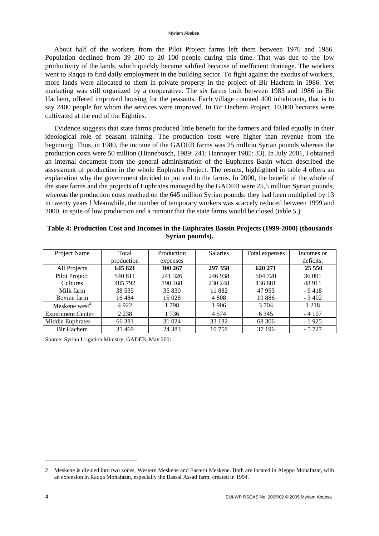About half of the workers from the Pilot Project farms left them between 1976 and 1986. Population declined from 39 200 to 20 100 people during this time. That was due to the low productivity of the lands, which quickly became salified because of inefficient drainage. The workers went to Raqqa to find daily employment in the building sector. To fight against the exodus of workers, more lands were allocated to them in private property in the project of Bir Hachem in 1986. Yet marketing was still organized by a cooperative. The six farms built between 1983 and 1986 in Bir Hachem, offered improved housing for the peasants. Each village counted 400 inhabitants, that is to say 2400 people for whom the services were improved. In Bir Hachem Project, 10,000 hectares were cultivated at the end of the Eighties.

Evidence suggests that state farms produced little benefit for the farmers and failed equally in their ideological role of peasant training. The production costs were higher than revenue from the beginning. Thus, in 1980, the income of the GADEB farms was 25 million Syrian pounds whereas the production costs were 50 million (Hinnebusch, 1989: 241; Hannoyer 1985: 33). In July 2001, I obtained an internal document from the general administration of the Euphrates Basin which described the assessment of production in the whole Euphrates Project. The results, highlighted in table 4 offers an explanation why the government decided to put end to the farms. In 2000, the benefit of the whole of the state farms and the projects of Euphrates managed by the GADEB were 25,5 million Syrian pounds, whereas the production costs reached on the 645 million Syrian pounds: they had been multiplied by 13 in twenty years ! Meanwhile, the number of temporary workers was scarcely reduced between 1999 and 2000, in spite of low production and a rumour that the state farms would be closed (table 5.)

| Table 4: Production Cost and Incomes in the Euphrates Bassin Projects (1999-2000) (thousands |  |
|----------------------------------------------------------------------------------------------|--|
| Syrian pounds).                                                                              |  |

| Project Name              | Total      | Production | <b>Salaries</b> | Total expenses | Incomes or |
|---------------------------|------------|------------|-----------------|----------------|------------|
|                           | production | expenses   |                 |                | deficits:  |
| All Projects              | 645 821    | 300 267    | 297 358         | 620 271        | 25 5 5 0   |
| Pilot Project:            | 540 811    | 241 326    | 246 938         | 504 720        | 36 091     |
| <b>Cultures</b>           | 485 792    | 190 468    | 230 248         | 436 881        | 48 911     |
| Milk farm                 | 38 5 35    | 35 830     | 11882           | 47 953         | $-9418$    |
| Bovine farm               | 16484      | 15 0 28    | 4 8 0 8         | 19886          | $-3402$    |
| Meskene west <sup>2</sup> | 4922       | 1798       | 1906            | 3 7 0 4        | 1 2 1 8    |
| <b>Experiment Center</b>  | 2 2 3 8    | 1736       | 4 5 7 4         | 6 3 4 5        | $-4107$    |
| Middle Euphrates          | 66 381     | 31 024     | 33 182          | 68 30 6        | $-1925$    |
| <b>Bir Hachem</b>         | 31 4 69    | 24 3 8 3   | 10 758          | 37 196         | $-5727$    |

Source: Syrian Irrigation Ministry, GADEB, May 2001.

<sup>2</sup> Meskene is divided into two zones, Western Meskene and Eastern Meskene. Both are located in Aleppo Mohafazat, with an extension in Raqqa Mohafazat, especially the Bassal Assad farm, created in 1994.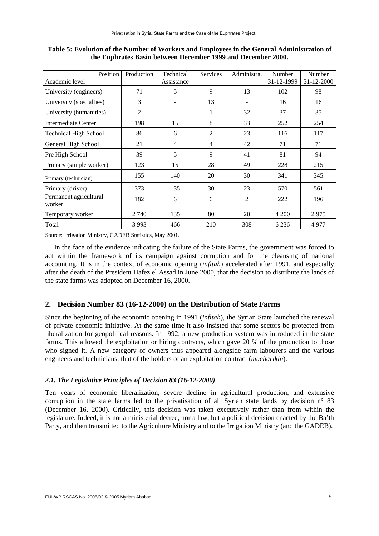| Position                         | Production | Technical  | <b>Services</b> | Administra. | Number     | Number     |
|----------------------------------|------------|------------|-----------------|-------------|------------|------------|
| Academic level                   |            | Assistance |                 |             | 31-12-1999 | 31-12-2000 |
| University (engineers)           | 71         | 5          | 9               | 13          | 102        | 98         |
| University (specialties)         | 3          |            | 13              |             | 16         | 16         |
| University (humanities)          | 2          |            | $\mathbf{1}$    | 32          | 37         | 35         |
| Intermediate Center              | 198        | 15         | 8               | 33          | 252        | 254        |
| <b>Technical High School</b>     | 86         | 6          | 2               | 23          | 116        | 117        |
| General High School              | 21         | 4          | $\overline{4}$  | 42          | 71         | 71         |
| Pre High School                  | 39         | 5          | 9               | 41          | 81         | 94         |
| Primary (simple worker)          | 123        | 15         | 28              | 49          | 228        | 215        |
| Primary (technician)             | 155        | 140        | 20              | 30          | 341        | 345        |
| Primary (driver)                 | 373        | 135        | 30              | 23          | 570        | 561        |
| Permanent agricultural<br>worker | 182        | 6          | 6               | 2           | 222        | 196        |
| Temporary worker                 | 2 740      | 135        | 80              | 20          | 4 200      | 2975       |
| Total                            | 3 9 9 3    | 466        | 210             | 308         | 6 2 3 6    | 4977       |

**Table 5: Evolution of the Number of Workers and Employees in the General Administration of the Euphrates Basin between December 1999 and December 2000.** 

Source: Irrigation Ministry, GADEB Statistics, May 2001.

In the face of the evidence indicating the failure of the State Farms, the government was forced to act within the framework of its campaign against corruption and for the cleansing of national accounting. It is in the context of economic opening (*infitah*) accelerated after 1991, and especially after the death of the President Hafez el Assad in June 2000, that the decision to distribute the lands of the state farms was adopted on December 16, 2000.

# **2. Decision Number 83 (16-12-2000) on the Distribution of State Farms**

Since the beginning of the economic opening in 1991 (*infitah*), the Syrian State launched the renewal of private economic initiative. At the same time it also insisted that some sectors be protected from liberalization for geopolitical reasons. In 1992, a new production system was introduced in the state farms. This allowed the exploitation or hiring contracts, which gave 20 % of the production to those who signed it. A new category of owners thus appeared alongside farm labourers and the various engineers and technicians: that of the holders of an exploitation contract (*mucharikin*).

### *2.1. The Legislative Principles of Decision 83 (16-12-2000)*

Ten years of economic liberalization, severe decline in agricultural production, and extensive corruption in the state farms led to the privatisation of all Syrian state lands by decision n° 83 (December 16, 2000). Critically, this decision was taken executively rather than from within the legislature. Indeed, it is not a ministerial decree, nor a law, but a political decision enacted by the Ba'th Party, and then transmitted to the Agriculture Ministry and to the Irrigation Ministry (and the GADEB).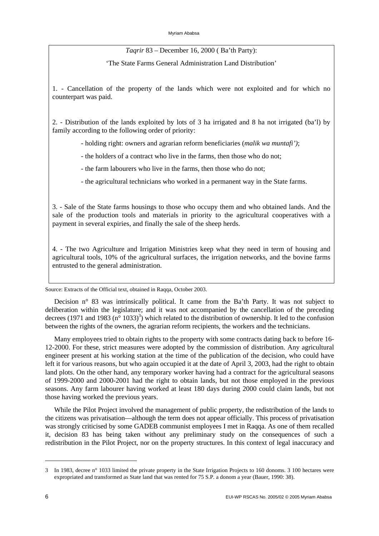*Taqrir* 83 – December 16, 2000 ( Ba'th Party):

'The State Farms General Administration Land Distribution'

1. - Cancellation of the property of the lands which were not exploited and for which no counterpart was paid.

2. - Distribution of the lands exploited by lots of 3 ha irrigated and 8 ha not irrigated (ba'l) by family according to the following order of priority:

- holding right: owners and agrarian reform beneficiaries (*malik wa muntafi')*;
- the holders of a contract who live in the farms, then those who do not;
- the farm labourers who live in the farms, then those who do not;
- the agricultural technicians who worked in a permanent way in the State farms.

3. - Sale of the State farms housings to those who occupy them and who obtained lands. And the sale of the production tools and materials in priority to the agricultural cooperatives with a payment in several expiries, and finally the sale of the sheep herds.

4. - The two Agriculture and Irrigation Ministries keep what they need in term of housing and agricultural tools, 10% of the agricultural surfaces, the irrigation networks, and the bovine farms entrusted to the general administration.

Source: Extracts of the Official text, obtained in Raqqa, October 2003.

Decision n° 83 was intrinsically political. It came from the Ba'th Party. It was not subject to deliberation within the legislature; and it was not accompanied by the cancellation of the preceding decrees (1971 and 1983 ( $n^{\circ}$  1033)<sup>3</sup>) which related to the distribution of ownership. It led to the confusion between the rights of the owners, the agrarian reform recipients, the workers and the technicians.

Many employees tried to obtain rights to the property with some contracts dating back to before 16- 12-2000. For these, strict measures were adopted by the commission of distribution. Any agricultural engineer present at his working station at the time of the publication of the decision, who could have left it for various reasons, but who again occupied it at the date of April 3, 2003, had the right to obtain land plots. On the other hand, any temporary worker having had a contract for the agricultural seasons of 1999-2000 and 2000-2001 had the right to obtain lands, but not those employed in the previous seasons. Any farm labourer having worked at least 180 days during 2000 could claim lands, but not those having worked the previous years.

While the Pilot Project involved the management of public property, the redistribution of the lands to the citizens was privatisation—although the term does not appear officially. This process of privatisation was strongly criticised by some GADEB communist employees I met in Raqqa. As one of them recalled it, decision 83 has being taken without any preliminary study on the consequences of such a redistribution in the Pilot Project, nor on the property structures. In this context of legal inaccuracy and

<sup>3</sup> In 1983, decree n° 1033 limited the private property in the State Irrigation Projects to 160 donoms. 3 100 hectares were expropriated and transformed as State land that was rented for 75 S.P. a donom a year (Bauer, 1990: 38).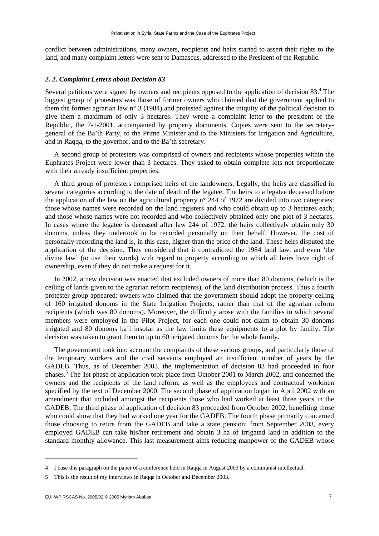conflict between administrations, many owners, recipients and heirs started to assert their rights to the land, and many complaint letters were sent to Damascus, addressed to the President of the Republic.

#### *2. 2. Complaint Letters about Decision 83*

Several petitions were signed by owners and recipients opposed to the application of decision  $83<sup>4</sup>$ . The biggest group of protesters was those of former owners who claimed that the government applied to them the former agrarian law n° 3 (1984) and protested against the iniquity of the political decision to give them a maximum of only 3 hectares. They wrote a complaint letter to the president of the Republic, the 7-1-2001, accompanied by property documents. Copies were sent to the secretarygeneral of the Ba'th Party, to the Prime Minister and to the Ministers for Irrigation and Agriculture, and in Raqqa, to the governor, and to the Ba'th secretary.

A second group of protesters was comprised of owners and recipients whose properties within the Euphrates Project were lower than 3 hectares. They asked to obtain complete lots not proportionate with their already insufficient properties.

A third group of protesters comprised heirs of the landowners. Legally, the heirs are classified in several categories according to the date of death of the legatee. The heirs to a legatee deceased before the application of the law on the agricultural property n° 244 of 1972 are divided into two categories: those whose names were recorded on the land registers and who could obtain up to 3 hectares each; and those whose names were not recorded and who collectively obtained only one plot of 3 hectares. In cases where the legatee is deceased after law 244 of 1972, the heirs collectively obtain only 30 donoms, unless they undertook to be recorded personally on their behalf. However, the cost of personally recording the land is, in this case, higher than the price of the land. These heirs disputed the application of the decision. They considered that it contradicted the 1984 land law, and even 'the divine law' (to use their words) with regard to property according to which all heirs have right of ownership, even if they do not make a request for it.

In 2002, a new decision was enacted that excluded owners of more than 80 donoms, (which is the ceiling of lands given to the agrarian reform recipients), of the land distribution process. Thus a fourth protester group appeared: owners who claimed that the government should adopt the property ceiling of 160 irrigated donoms in the State Irrigation Projects, rather than that of the agrarian reform recipients (which was 80 donoms). Moreover, the difficulty arose with the families in which several members were employed in the Pilot Project, for each one could not claim to obtain 30 donoms irrigated and 80 donoms ba'l insofar as the law limits these equipments to a plot by family. The decision was taken to grant them to up to 60 irrigated donoms for the whole family.

The government took into account the complaints of these various groups, and particularly those of the temporary workers and the civil servants employed an insufficient number of years by the GADEB. Thus, as of December 2003, the implementation of decision 83 had proceeded in four phases.<sup>5</sup> The 1st phase of application took place from October 2001 to March 2002, and concerned the owners and the recipients of the land reform, as well as the employees and contractual workmen specified by the text of December 2000. The second phase of application began in April 2002 with an amendment that included amongst the recipients those who had worked at least three years in the GADEB. The third phase of application of decision 83 proceeded from October 2002, benefiting those who could show that they had worked one year for the GADEB. The fourth phase primarily concerned those choosing to retire from the GADEB and take a state pension: from September 2003, every employed GADEB can take his/her retirement and obtain 3 ha of irrigated land in addition to the standard monthly allowance. This last measurement aims reducing manpower of the GADEB whose

<sup>4</sup> I base this paragraph on the paper of a conference held in Raqqa in August 2003 by a communist intellectual.

<sup>5</sup> This is the result of my interviews in Raqqa in October and December 2003.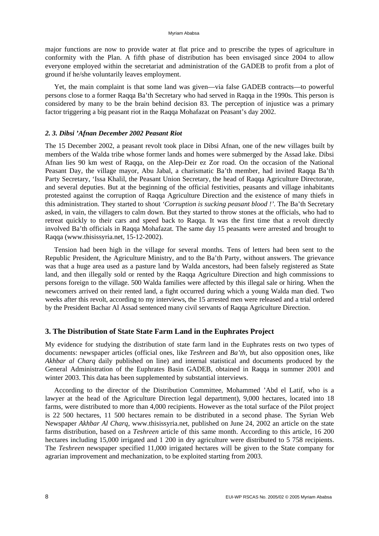major functions are now to provide water at flat price and to prescribe the types of agriculture in conformity with the Plan. A fifth phase of distribution has been envisaged since 2004 to allow everyone employed within the secretariat and administration of the GADEB to profit from a plot of ground if he/she voluntarily leaves employment.

Yet, the main complaint is that some land was given—via false GADEB contracts—to powerful persons close to a former Raqqa Ba'th Secretary who had served in Raqqa in the 1990s. This person is considered by many to be the brain behind decision 83. The perception of injustice was a primary factor triggering a big peasant riot in the Raqqa Mohafazat on Peasant's day 2002.

#### *2. 3. Dibsi 'Afnan December 2002 Peasant Riot*

The 15 December 2002, a peasant revolt took place in Dibsi Afnan, one of the new villages built by members of the Walda tribe whose former lands and homes were submerged by the Assad lake. Dibsi Afnan lies 90 km west of Raqqa, on the Alep-Deir ez Zor road. On the occasion of the National Peasant Day, the village mayor, Abu Jabal, a charismatic Ba'th member, had invited Raqqa Ba'th Party Secretary, 'Issa Khalil, the Peasant Union Secretary, the head of Raqqa Agriculture Directorate, and several deputies. But at the beginning of the official festivities, peasants and village inhabitants protested against the corruption of Raqqa Agriculture Direction and the existence of many thiefs in this administration. They started to shout *'Corruption is sucking peasant blood !'.* The Ba'th Secretary asked, in vain, the villagers to calm down. But they started to throw stones at the officials, who had to retreat quickly to their cars and speed back to Raqqa. It was the first time that a revolt directly involved Ba'th officials in Raqqa Mohafazat. The same day 15 peasants were arrested and brought to Raqqa (www.thisissyria.net, 15-12-2002).

Tension had been high in the village for several months. Tens of letters had been sent to the Republic President, the Agriculture Ministry, and to the Ba'th Party, without answers. The grievance was that a huge area used as a pasture land by Walda ancestors, had been falsely registered as State land, and then illegally sold or rented by the Raqqa Agriculture Direction and high commissions to persons foreign to the village. 500 Walda families were affected by this illegal sale or hiring. When the newcomers arrived on their rented land, a fight occurred during which a young Walda man died. Two weeks after this revolt, according to my interviews, the 15 arrested men were released and a trial ordered by the President Bachar Al Assad sentenced many civil servants of Raqqa Agriculture Direction.

# **3. The Distribution of State State Farm Land in the Euphrates Project**

My evidence for studying the distribution of state farm land in the Euphrates rests on two types of documents: newspaper articles (official ones, like *Teshreen* and *Ba'th*, but also opposition ones, like *Akhbar al Charq* daily published on line) and internal statistical and documents produced by the General Administration of the Euphrates Basin GADEB, obtained in Raqqa in summer 2001 and winter 2003. This data has been supplemented by substantial interviews.

According to the director of the Distribution Committee, Mohammed 'Abd el Latif, who is a lawyer at the head of the Agriculture Direction legal department), 9,000 hectares, located into 18 farms, were distributed to more than 4,000 recipients. However as the total surface of the Pilot project is 22 500 hectares, 11 500 hectares remain to be distributed in a second phase. The Syrian Web Newspaper *Akhbar Al Charq*, www.thisissyria.net, published on June 24, 2002 an article on the state farms distribution, based on a *Teshreen* article of this same month. According to this article, 16 200 hectares including 15,000 irrigated and 1 200 in dry agriculture were distributed to 5 758 recipients. The *Teshreen* newspaper specified 11,000 irrigated hectares will be given to the State company for agrarian improvement and mechanization, to be exploited starting from 2003.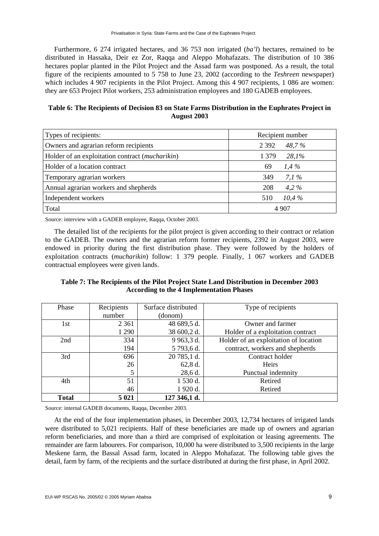Furthermore, 6 274 irrigated hectares, and 36 753 non irrigated (*ba'l*) hectares, remained to be distributed in Hassaka, Deir ez Zor, Raqqa and Aleppo Mohafazats. The distribution of 10 386 hectares poplar planted in the Pilot Project and the Assad farm was postponed. As a result, the total figure of the recipients amounted to 5 758 to June 23, 2002 (according to the *Teshreen* newspaper) which includes 4 907 recipients in the Pilot Project. Among this 4 907 recipients, 1 086 are women: they are 653 Project Pilot workers, 253 administration employees and 180 GADEB employees.

**Table 6: The Recipients of Decision 83 on State Farms Distribution in the Euphrates Project in August 2003** 

| Types of recipients:                            | Recipient number |
|-------------------------------------------------|------------------|
| Owners and agrarian reform recipients           | 48,7%<br>2 3 9 2 |
| Holder of an exploitation contract (mucharikin) | 28,1%<br>1 3 7 9 |
| Holder of a location contract                   | $1.4\%$<br>69    |
| Temporary agrarian workers                      | 7.1 $%$<br>349   |
| Annual agrarian workers and shepherds           | 208<br>$4.2\%$   |
| Independent workers                             | 10.4%<br>510     |
| Total                                           | 4 907            |

Source: interview with a GADEB employee, Raqqa, October 2003.

The detailed list of the recipients for the pilot project is given according to their contract or relation to the GADEB. The owners and the agrarian reform former recipients, 2392 in August 2003, were endowed in priority during the first distribution phase. They were followed by the holders of exploitation contracts (*mucharikin*) follow: 1 379 people. Finally, 1 067 workers and GADEB contractual employees were given lands.

**Table 7: The Recipients of the Pilot Project State Land Distribution in December 2003 According to the 4 Implementation Phases** 

| Phase        | Recipients | Surface distributed | Type of recipients                    |
|--------------|------------|---------------------|---------------------------------------|
|              | number     | (donom)             |                                       |
| 1st          | 2 3 6 1    | 48 689,5 d.         | Owner and farmer                      |
|              | 1 290      | 38 600,2 d.         | Holder of a exploitation contract     |
| 2nd          | 334        | 9 963,3 d.          | Holder of an exploitation of location |
|              | 194        | 5 793,6 d.          | contract, workers and shepherds       |
| 3rd          | 696        | 20 785,1 d.         | Contract holder                       |
|              | 26         | 62,8 d.             | Heirs                                 |
|              | 5          | $28,6$ d.           | Punctual indemnity                    |
| 4th          | 51         | 1 530 d.            | Retired                               |
|              | 46         | 1 920 d.            | Retired                               |
| <b>Total</b> | 5 0 21     | 127 346,1 d.        |                                       |

Source: internal GADEB documents, Raqqa, December 2003.

At the end of the four implementation phases, in December 2003, 12,734 hectares of irrigated lands were distributed to 5,021 recipients. Half of these beneficiaries are made up of owners and agrarian reform beneficiaries, and more than a third are comprised of exploitation or leasing agreements. The remainder are farm labourers. For comparison, 10,000 ha were distributed to 3,500 recipients in the large Meskene farm, the Bassal Assad farm, located in Aleppo Mohafazat. The following table gives the detail, farm by farm, of the recipients and the surface distributed at during the first phase, in April 2002.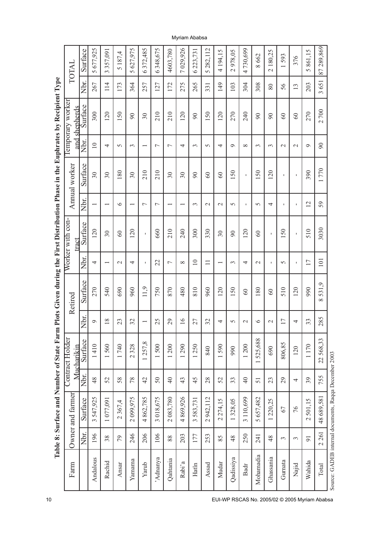| 289,869<br>372,485<br>029,926<br>677,925<br>627,975<br>348,675<br>282,112<br>730,699<br>Surface<br>4603,780<br>223,731<br>4 194,15<br>2978,05<br>2180,25<br>861,15<br>357,091<br>5187,4<br>662<br>593<br>376<br>$\infty$<br>$\sim$<br>87<br>$\overline{a}$<br>$\sigma$<br>$\circ$<br>$\circ$<br>$\circ$<br>$\Omega$<br>$\overline{ }$<br>$\Omega$<br>3<br>Nbr.<br>651<br>172<br>275<br>265<br>149<br>308<br>203<br>267<br>$\frac{14}{1}$<br>173<br>364<br>257<br>127<br>103<br>304<br>56<br>13<br>80<br>33<br>3<br>Surface<br>and shepherds<br>700<br>300<br>270<br>120<br>150<br>210<br>210<br>120<br>50<br>120<br>270<br>240<br>$30\,$<br>$\infty$<br>$\infty$<br>$\infty$<br>$\infty$<br>$\infty$<br>$\infty$<br>$\overline{\mathcal{C}}$<br>Nbr.<br>10<br>$\infty$<br>4<br>4<br>$\infty$<br>$\sim$<br>$\sim$<br>$\circ$<br>$\sim$<br>3<br>$\overline{ }$<br>$\overline{ }$<br>3<br>$\sim$<br>4<br>$\circ$<br>$\epsilon$<br>3<br>$\overline{\phantom{0}}$<br>Surface<br>770<br>210<br>180<br>210<br>150<br>150<br>120<br>390<br>30<br>30<br>30<br>30<br>$30\,$<br>$\overline{0}$<br>60<br>$\infty$<br>$\mathbf{I}$<br>$\mathbf{I}$<br>$\mathbf{I}$<br>Nbr.<br>12<br>59<br>$\circ$<br>$\mathbf I$<br>$\overline{ }$<br>$\overline{ }$<br>$\epsilon$<br>$\mathcal{L}$<br>$\sim$<br>5<br>1<br>$\Omega$<br>4<br>τ.<br>$\overline{\phantom{0}}$<br>$\overline{\phantom{0}}$<br>$\overline{\phantom{0}}$<br>$\overline{\phantom{0}}$<br>$\overline{\phantom{0}}$<br>Surface<br>3030<br>120<br>210<br>240<br>300<br>510<br>$\overline{c}$<br>660<br>330<br>120<br>$50\,$<br>$30\,$<br>$\infty$<br>$30\,$<br>$\infty$<br>$\infty$<br>$\mathbf I$<br>$\mathbf{I}$<br>$\mathbf I$<br>Nbr.<br>$\overline{10}$<br>17<br>22<br>$\overline{10}$<br>$\Box$<br>4<br>$\mathbf{I}$<br>$\sim$<br>4<br>т.<br>$\overline{ }$<br>$\infty$<br>$\sim$<br>4<br>$\sim$<br>J.<br>$\sim$<br>$\overline{\phantom{0}}$<br>$\overline{\phantom{0}}$<br>Surface<br>531,9<br>11,9<br>540<br>750<br>810<br>990<br>270<br>690<br>960<br>870<br>480<br>960<br>120<br>$50\,$<br>510<br>120<br>$80\,$<br>$\infty$<br>$\infty$<br>$\overline{\phantom{0}}$<br>${}^{\circ}$<br>Nbr.<br>285<br>18<br>25<br>16<br>23<br>32<br>29<br>27<br>32<br>17<br>33<br>4<br>$\circ$<br>4<br>$\circ$<br>5<br>$\sim$<br>$\mathcal{L}$<br>$\overline{\phantom{0}}$<br>1525,688<br>22568,33<br>Surface<br>1257,8<br>806,85<br>1410<br>1560<br>1740<br>328<br>1500<br>1290<br>1590<br>1170<br>200<br>1250<br>1200<br>Mucharikin<br>690<br>990<br>120<br>840<br>$\overline{\mathcal{C}}$<br>$\overline{\phantom{0}}$<br>Nbr.<br>755<br>48<br>52<br>58<br>78<br>42<br>50<br>$\overline{4}$<br>45<br>28<br>52<br>$\overline{4}$<br>39<br>43<br>33<br>23<br>29<br>51<br>4<br>48 689,581<br>3547,925<br>2099,975<br>4862,785<br>3 018,675<br>4869,926<br>2 083,780<br>5657,482<br>1077,091<br>3583,731<br>2942,112<br>3 110,699<br>Surface<br>2274,15<br>1328,05<br>220,25<br>2501,15<br>2367,4<br>76<br>67 |       | Table 8: Surface and Number of State Far<br>Owner and farmer | Contract Holder | m Plots Given during the First Distribution Phase in the Euphrates by Recipient Type<br>Retired | Worker with con- | Annual worker | Temporary worker | TOTAL |
|-------------------------------------------------------------------------------------------------------------------------------------------------------------------------------------------------------------------------------------------------------------------------------------------------------------------------------------------------------------------------------------------------------------------------------------------------------------------------------------------------------------------------------------------------------------------------------------------------------------------------------------------------------------------------------------------------------------------------------------------------------------------------------------------------------------------------------------------------------------------------------------------------------------------------------------------------------------------------------------------------------------------------------------------------------------------------------------------------------------------------------------------------------------------------------------------------------------------------------------------------------------------------------------------------------------------------------------------------------------------------------------------------------------------------------------------------------------------------------------------------------------------------------------------------------------------------------------------------------------------------------------------------------------------------------------------------------------------------------------------------------------------------------------------------------------------------------------------------------------------------------------------------------------------------------------------------------------------------------------------------------------------------------------------------------------------------------------------------------------------------------------------------------------------------------------------------------------------------------------------------------------------------------------------------------------------------------------------------------------------------------------------------------------------------------------------------------------------------------------------------------------------------------------------------------------------------------------------------------------------------------------------------------------------------------------------------------------------------------------------------------------------------------------------------------------------------------------------------------------------------------------------------------------------------------------------------|-------|--------------------------------------------------------------|-----------------|-------------------------------------------------------------------------------------------------|------------------|---------------|------------------|-------|
|                                                                                                                                                                                                                                                                                                                                                                                                                                                                                                                                                                                                                                                                                                                                                                                                                                                                                                                                                                                                                                                                                                                                                                                                                                                                                                                                                                                                                                                                                                                                                                                                                                                                                                                                                                                                                                                                                                                                                                                                                                                                                                                                                                                                                                                                                                                                                                                                                                                                                                                                                                                                                                                                                                                                                                                                                                                                                                                                                 |       |                                                              |                 |                                                                                                 | tract            |               |                  |       |
|                                                                                                                                                                                                                                                                                                                                                                                                                                                                                                                                                                                                                                                                                                                                                                                                                                                                                                                                                                                                                                                                                                                                                                                                                                                                                                                                                                                                                                                                                                                                                                                                                                                                                                                                                                                                                                                                                                                                                                                                                                                                                                                                                                                                                                                                                                                                                                                                                                                                                                                                                                                                                                                                                                                                                                                                                                                                                                                                                 |       |                                                              |                 |                                                                                                 |                  |               |                  |       |
|                                                                                                                                                                                                                                                                                                                                                                                                                                                                                                                                                                                                                                                                                                                                                                                                                                                                                                                                                                                                                                                                                                                                                                                                                                                                                                                                                                                                                                                                                                                                                                                                                                                                                                                                                                                                                                                                                                                                                                                                                                                                                                                                                                                                                                                                                                                                                                                                                                                                                                                                                                                                                                                                                                                                                                                                                                                                                                                                                 |       |                                                              |                 |                                                                                                 |                  |               |                  |       |
|                                                                                                                                                                                                                                                                                                                                                                                                                                                                                                                                                                                                                                                                                                                                                                                                                                                                                                                                                                                                                                                                                                                                                                                                                                                                                                                                                                                                                                                                                                                                                                                                                                                                                                                                                                                                                                                                                                                                                                                                                                                                                                                                                                                                                                                                                                                                                                                                                                                                                                                                                                                                                                                                                                                                                                                                                                                                                                                                                 |       |                                                              |                 |                                                                                                 |                  |               |                  |       |
|                                                                                                                                                                                                                                                                                                                                                                                                                                                                                                                                                                                                                                                                                                                                                                                                                                                                                                                                                                                                                                                                                                                                                                                                                                                                                                                                                                                                                                                                                                                                                                                                                                                                                                                                                                                                                                                                                                                                                                                                                                                                                                                                                                                                                                                                                                                                                                                                                                                                                                                                                                                                                                                                                                                                                                                                                                                                                                                                                 |       |                                                              |                 |                                                                                                 |                  |               |                  |       |
|                                                                                                                                                                                                                                                                                                                                                                                                                                                                                                                                                                                                                                                                                                                                                                                                                                                                                                                                                                                                                                                                                                                                                                                                                                                                                                                                                                                                                                                                                                                                                                                                                                                                                                                                                                                                                                                                                                                                                                                                                                                                                                                                                                                                                                                                                                                                                                                                                                                                                                                                                                                                                                                                                                                                                                                                                                                                                                                                                 |       |                                                              |                 |                                                                                                 |                  |               |                  |       |
|                                                                                                                                                                                                                                                                                                                                                                                                                                                                                                                                                                                                                                                                                                                                                                                                                                                                                                                                                                                                                                                                                                                                                                                                                                                                                                                                                                                                                                                                                                                                                                                                                                                                                                                                                                                                                                                                                                                                                                                                                                                                                                                                                                                                                                                                                                                                                                                                                                                                                                                                                                                                                                                                                                                                                                                                                                                                                                                                                 |       |                                                              |                 |                                                                                                 |                  |               |                  |       |
|                                                                                                                                                                                                                                                                                                                                                                                                                                                                                                                                                                                                                                                                                                                                                                                                                                                                                                                                                                                                                                                                                                                                                                                                                                                                                                                                                                                                                                                                                                                                                                                                                                                                                                                                                                                                                                                                                                                                                                                                                                                                                                                                                                                                                                                                                                                                                                                                                                                                                                                                                                                                                                                                                                                                                                                                                                                                                                                                                 |       |                                                              |                 |                                                                                                 |                  |               |                  |       |
|                                                                                                                                                                                                                                                                                                                                                                                                                                                                                                                                                                                                                                                                                                                                                                                                                                                                                                                                                                                                                                                                                                                                                                                                                                                                                                                                                                                                                                                                                                                                                                                                                                                                                                                                                                                                                                                                                                                                                                                                                                                                                                                                                                                                                                                                                                                                                                                                                                                                                                                                                                                                                                                                                                                                                                                                                                                                                                                                                 |       |                                                              |                 |                                                                                                 |                  |               |                  |       |
|                                                                                                                                                                                                                                                                                                                                                                                                                                                                                                                                                                                                                                                                                                                                                                                                                                                                                                                                                                                                                                                                                                                                                                                                                                                                                                                                                                                                                                                                                                                                                                                                                                                                                                                                                                                                                                                                                                                                                                                                                                                                                                                                                                                                                                                                                                                                                                                                                                                                                                                                                                                                                                                                                                                                                                                                                                                                                                                                                 |       |                                                              |                 |                                                                                                 |                  |               |                  |       |
|                                                                                                                                                                                                                                                                                                                                                                                                                                                                                                                                                                                                                                                                                                                                                                                                                                                                                                                                                                                                                                                                                                                                                                                                                                                                                                                                                                                                                                                                                                                                                                                                                                                                                                                                                                                                                                                                                                                                                                                                                                                                                                                                                                                                                                                                                                                                                                                                                                                                                                                                                                                                                                                                                                                                                                                                                                                                                                                                                 |       |                                                              |                 |                                                                                                 |                  |               |                  |       |
|                                                                                                                                                                                                                                                                                                                                                                                                                                                                                                                                                                                                                                                                                                                                                                                                                                                                                                                                                                                                                                                                                                                                                                                                                                                                                                                                                                                                                                                                                                                                                                                                                                                                                                                                                                                                                                                                                                                                                                                                                                                                                                                                                                                                                                                                                                                                                                                                                                                                                                                                                                                                                                                                                                                                                                                                                                                                                                                                                 |       |                                                              |                 |                                                                                                 |                  |               |                  |       |
|                                                                                                                                                                                                                                                                                                                                                                                                                                                                                                                                                                                                                                                                                                                                                                                                                                                                                                                                                                                                                                                                                                                                                                                                                                                                                                                                                                                                                                                                                                                                                                                                                                                                                                                                                                                                                                                                                                                                                                                                                                                                                                                                                                                                                                                                                                                                                                                                                                                                                                                                                                                                                                                                                                                                                                                                                                                                                                                                                 |       |                                                              |                 |                                                                                                 |                  |               |                  |       |
|                                                                                                                                                                                                                                                                                                                                                                                                                                                                                                                                                                                                                                                                                                                                                                                                                                                                                                                                                                                                                                                                                                                                                                                                                                                                                                                                                                                                                                                                                                                                                                                                                                                                                                                                                                                                                                                                                                                                                                                                                                                                                                                                                                                                                                                                                                                                                                                                                                                                                                                                                                                                                                                                                                                                                                                                                                                                                                                                                 |       |                                                              |                 |                                                                                                 |                  |               |                  |       |
|                                                                                                                                                                                                                                                                                                                                                                                                                                                                                                                                                                                                                                                                                                                                                                                                                                                                                                                                                                                                                                                                                                                                                                                                                                                                                                                                                                                                                                                                                                                                                                                                                                                                                                                                                                                                                                                                                                                                                                                                                                                                                                                                                                                                                                                                                                                                                                                                                                                                                                                                                                                                                                                                                                                                                                                                                                                                                                                                                 |       |                                                              |                 |                                                                                                 |                  |               |                  |       |
|                                                                                                                                                                                                                                                                                                                                                                                                                                                                                                                                                                                                                                                                                                                                                                                                                                                                                                                                                                                                                                                                                                                                                                                                                                                                                                                                                                                                                                                                                                                                                                                                                                                                                                                                                                                                                                                                                                                                                                                                                                                                                                                                                                                                                                                                                                                                                                                                                                                                                                                                                                                                                                                                                                                                                                                                                                                                                                                                                 |       |                                                              |                 |                                                                                                 |                  |               |                  |       |
|                                                                                                                                                                                                                                                                                                                                                                                                                                                                                                                                                                                                                                                                                                                                                                                                                                                                                                                                                                                                                                                                                                                                                                                                                                                                                                                                                                                                                                                                                                                                                                                                                                                                                                                                                                                                                                                                                                                                                                                                                                                                                                                                                                                                                                                                                                                                                                                                                                                                                                                                                                                                                                                                                                                                                                                                                                                                                                                                                 |       |                                                              |                 |                                                                                                 |                  |               |                  |       |
|                                                                                                                                                                                                                                                                                                                                                                                                                                                                                                                                                                                                                                                                                                                                                                                                                                                                                                                                                                                                                                                                                                                                                                                                                                                                                                                                                                                                                                                                                                                                                                                                                                                                                                                                                                                                                                                                                                                                                                                                                                                                                                                                                                                                                                                                                                                                                                                                                                                                                                                                                                                                                                                                                                                                                                                                                                                                                                                                                 |       |                                                              |                 |                                                                                                 |                  |               |                  |       |
|                                                                                                                                                                                                                                                                                                                                                                                                                                                                                                                                                                                                                                                                                                                                                                                                                                                                                                                                                                                                                                                                                                                                                                                                                                                                                                                                                                                                                                                                                                                                                                                                                                                                                                                                                                                                                                                                                                                                                                                                                                                                                                                                                                                                                                                                                                                                                                                                                                                                                                                                                                                                                                                                                                                                                                                                                                                                                                                                                 |       |                                                              |                 |                                                                                                 |                  |               |                  |       |
|                                                                                                                                                                                                                                                                                                                                                                                                                                                                                                                                                                                                                                                                                                                                                                                                                                                                                                                                                                                                                                                                                                                                                                                                                                                                                                                                                                                                                                                                                                                                                                                                                                                                                                                                                                                                                                                                                                                                                                                                                                                                                                                                                                                                                                                                                                                                                                                                                                                                                                                                                                                                                                                                                                                                                                                                                                                                                                                                                 | 2 261 |                                                              |                 |                                                                                                 |                  |               |                  |       |

Myriam Ababsa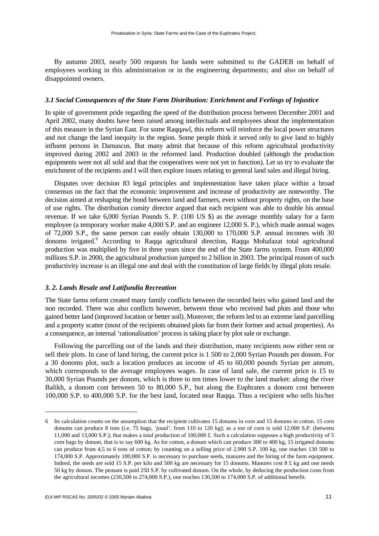By autumn 2003, nearly 500 requests for lands were submitted to the GADEB on behalf of employees working in this administration or in the engineering departments; and also on behalf of disappointed owners.

#### *3.1 Social Consequences of the State Farm Distribution: Enrichment and Feelings of Injustice*

In spite of government pride regarding the speed of the distribution process between December 2001 and April 2002, many doubts have been raised among intellectuals and employees about the implementation of this measure in the Syrian East. For some Raqqawî, this reform will reinforce the local power structures and not change the land inequity in the region. Some people think it served only to give land to highly influent persons in Damascus. But many admit that because of this reform agricultural productivity improved during 2002 and 2003 in the reformed land. Production doubled (although the production equipments were not all sold and that the cooperatives were not yet in function). Let us try to evaluate the enrichment of the recipients and I will then explore issues relating to general land sales and illegal hiring.

Disputes over decision 83 legal principles and implementation have taken place within a broad consensus on the fact that the economic improvement and increase of productivity are noteworthy. The decision aimed at reshaping the bond between land and farmers, even without property rights, on the base of use rights. The distribution comity director argued that each recipient was able to double his annual revenue. If we take 6,000 Syrian Pounds S. P. (100 US \$) as the average monthly salary for a farm employee (a temporary worker make 4,000 S.P. and an engineer 12,000 S. P.), which made annual wages of 72,000 S.P., the same person can easily obtain 130,000 to 170,000 S.P. annual incomes with 30 donoms irrigated.<sup>6</sup> According to Raqqa agricultural direction, Raqqa Mohafazat total agricultural production was multiplied by five in three years since the end of the State farms system. From 400,000 millions S.P. in 2000, the agricultural production jumped to 2 billion in 2003. The principal reason of such productivity increase is an illegal one and deal with the constitution of large fields by illegal plots resale.

#### *3. 2. Lands Resale and Latifundia Recreation*

The State farms reform created many family conflicts between the recorded heirs who gained land and the non recorded. There was also conflicts however, between those who received bad plots and those who gained better land (improved location or better soil). Moreover, the reform led to an extreme land parcelling and a property scatter (most of the recipients obtained plots far from their former and actual properties). As a consequence, an internal 'rationalisation' process is taking place by plot sale or exchange.

Following the parcelling out of the lands and their distribution, many recipients now either rent or sell their plots. In case of land hiring, the current price is 1 500 to 2,000 Syrian Pounds per donom. For a 30 donoms plot, such a location produces an income of 45 to 60,000 pounds Syrian per annum, which corresponds to the average employees wages. In case of land sale, the current price is 15 to 30,000 Syrian Pounds per donom, which is three to ten times lower to the land market: along the river Balikh, a donom cost between 50 to 80,000 S.P., but along the Euphrates a donom cost between 100,000 S.P. to 400,000 S.P. for the best land, located near Raqqa. Thus a recipient who sells his/her

<sup>6</sup> Its calculation counts on the assumption that the recipient cultivates 15 donums in corn and 15 donums in cotton. 15 corn donums can produce 8 tons (i.e. 75 bags, 'joual', from 110 to 120 kg); as a ton of corn is sold 12,000 S.P. (between 11,000 and 13,000 S.P.); that makes a total production of 100,000 £. Such a calculation supposes a high productivity of 5 corn bags by donum, that is to say 600 kg. As for cotton, a donum which can produce 300 to 400 kg, 15 irrigated donums can produce from 4,5 to 6 tons of cotton; by counting on a selling price of 2,900 S.P. 100 kg, one reaches 130 500 to 174,000 S.P. Approximately 100,000 S.P. is necessary to purchase seeds, manures and the hiring of the farm equipment. Indeed, the seeds are sold 15 S.P. per kilo and 500 kg are necessary for 15 donums. Manures cost  $8 \text{ £ kg}$  and one needs 50 kg by donum. The peasant is paid 250 S.P. by cultivated donum. On the whole, by deducing the production costs from the agricultural incomes (230,500 to 274,000 S.P.), one reaches 130,500 to 174,000 S.P. of additional benefit.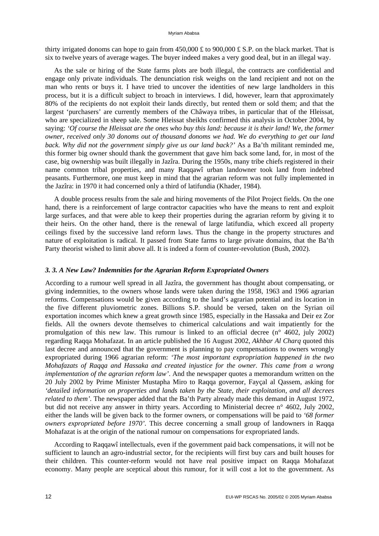thirty irrigated donoms can hope to gain from  $450,000 \text{ ft}$  to  $900,000 \text{ ft}$  S.P. on the black market. That is six to twelve years of average wages. The buyer indeed makes a very good deal, but in an illegal way.

As the sale or hiring of the State farms plots are both illegal, the contracts are confidential and engage only private individuals. The denunciation risk weighs on the land recipient and not on the man who rents or buys it. I have tried to uncover the identities of new large landholders in this process, but it is a difficult subject to broach in interviews. I did, however, learn that approximately 80% of the recipients do not exploit their lands directly, but rented them or sold them; and that the largest 'purchasers' are currently members of the Châwaya tribes, in particular that of the Hleissat, who are specialized in sheep sale. Some Hleissat sheikhs confirmed this analysis in October 2004, by saying: *'Of course the Hleissat are the ones who buy this land: because it is their land! We, the former owner, received only 30 donoms out of thousand donoms we had. We do everything to get our land back. Why did not the government simply give us our land back?'* As a Ba'th militant reminded me, this former big owner should thank the government that gave him back some land, for, in most of the case, big ownership was built illegally in Jazîra. During the 1950s, many tribe chiefs registered in their name common tribal properties, and many Raqqawî urban landowner took land from indebted peasants. Furthermore, one must keep in mind that the agrarian reform was not fully implemented in the Jazîra: in 1970 it had concerned only a third of latifundia (Khader, 1984).

A double process results from the sale and hiring movements of the Pilot Project fields. On the one hand, there is a reinforcement of large contractor capacities who have the means to rent and exploit large surfaces, and that were able to keep their properties during the agrarian reform by giving it to their heirs. On the other hand, there is the renewal of large latifundia, which exceed all property ceilings fixed by the successive land reform laws. Thus the change in the property structures and nature of exploitation is radical. It passed from State farms to large private domains, that the Ba'th Party theorist wished to limit above all. It is indeed a form of counter-revolution (Bush, 2002).

# *3. 3. A New Law? Indemnities for the Agrarian Reform Expropriated Owners*

According to a rumour well spread in all Jazîra, the government has thought about compensating, or giving indemnities, to the owners whose lands were taken during the 1958, 1963 and 1966 agrarian reforms. Compensations would be given according to the land's agrarian potential and its location in the five different pluviometric zones. Billions S.P. should be versed, taken on the Syrian oil exportation incomes which knew a great growth since 1985, especially in the Hassaka and Deir ez Zor fields. All the owners devote themselves to chimerical calculations and wait impatiently for the promulgation of this new law. This rumour is linked to an official decree (n° 4602, july 2002) regarding Raqqa Mohafazat. In an article published the 16 August 2002, *Akhbar Al Charq* quoted this last decree and announced that the government is planning to pay compensations to owners wrongly expropriated during 1966 agrarian reform: *'The most important expropriation happened in the two Mohafazats of Raqqa and Hassaka and created injustice for the owner. This came from a wrong implementation of the agrarian reform law'*. And the newspaper quotes a memorandum written on the 20 July 2002 by Prime Minister Mustapha Miro to Raqqa governor, Fayçal al Qassem, asking for *'detailed information on properties and lands taken by the State, their exploitation, and all decrees related to them'.* The newspaper added that the Ba'th Party already made this demand in August 1972, but did not receive any answer in thirty years. According to Ministerial decree n° 4602, July 2002, either the lands will be given back to the former owners, or compensations will be paid to *'68 former owners expropriated before 1970'.* This decree concerning a small group of landowners in Raqqa Mohafazat is at the origin of the national rumour on compensations for expropriated lands.

According to Raqqawî intellectuals, even if the government paid back compensations, it will not be sufficient to launch an agro-industrial sector, for the recipients will first buy cars and built houses for their children. This counter-reform would not have real positive impact on Raqqa Mohafazat economy. Many people are sceptical about this rumour, for it will cost a lot to the government. As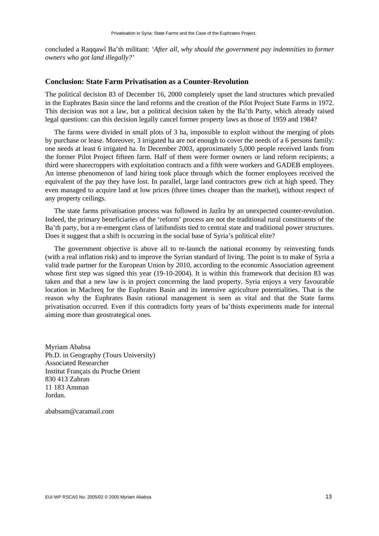concluded a Raqqawî Ba'th militant: *'After all, why should the government pay indemnities to former owners who got land illegally?'* 

# **Conclusion: State Farm Privatisation as a Counter-Revolution**

The political decision 83 of December 16, 2000 completely upset the land structures which prevailed in the Euphrates Basin since the land reforms and the creation of the Pilot Project State Farms in 1972. This decision was not a law, but a political decision taken by the Ba'th Party, which already raised legal questions: can this decision legally cancel former property laws as those of 1959 and 1984?

The farms were divided in small plots of 3 ha, impossible to exploit without the merging of plots by purchase or lease. Moreover, 3 irrigated ha are not enough to cover the needs of a 6 persons family: one needs at least 6 irrigated ha. In December 2003, approximately 5,000 people received lands from the former Pilot Project fifteen farm. Half of them were former owners or land reform recipients; a third were sharecroppers with exploitation contracts and a fifth were workers and GADEB employees. An intense phenomenon of land hiring took place through which the former employees received the equivalent of the pay they have lost. In parallel, large land contractors grew rich at high speed. They even managed to acquire land at low prices (three times cheaper than the market), without respect of any property ceilings.

The state farms privatisation process was followed in Jazîra by an unexpected counter-revolution. Indeed, the primary beneficiaries of the 'reform' process are not the traditional rural constituents of the Ba'th party, but a re-emergent class of latifundists tied to central state and traditional power structures. Does it suggest that a shift is occurring in the social base of Syria's political elite?

The government objective is above all to re-launch the national economy by reinvesting funds (with a real inflation risk) and to improve the Syrian standard of living. The point is to make of Syria a valid trade partner for the European Union by 2010, according to the economic Association agreement whose first step was signed this year (19-10-2004). It is within this framework that decision 83 was taken and that a new law is in project concerning the land property. Syria enjoys a very favourable location in Machreq for the Euphrates Basin and its intensive agriculture potentialities. That is the reason why the Euphrates Basin rational management is seen as vital and that the State farms privatisation occurred. Even if this contradicts forty years of ba'thists experiments made for internal aiming more than geostrategical ones.

Myriam Ababsa Ph.D. in Geography (Tours University) Associated Researcher Institut Français du Proche Orient 830 413 Zahran 11 183 Amman Jordan.

ababsam@caramail.com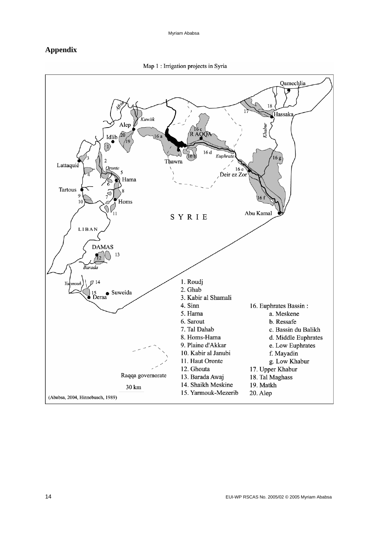# **Appendix**



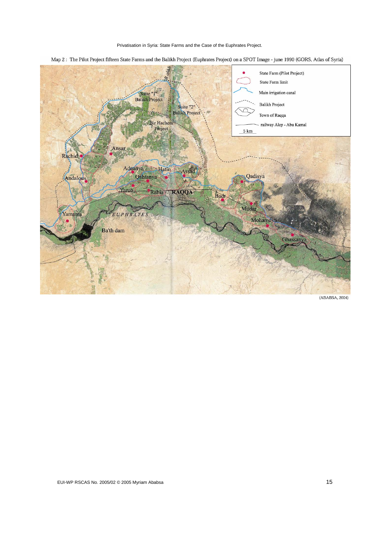Privatisation in Syria: State Farms and the Case of the Euphrates Project.





(ABABSA, 2004)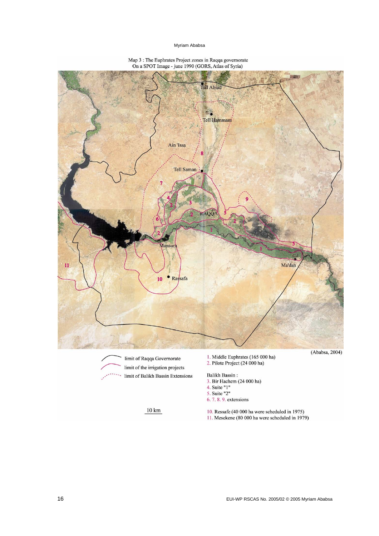#### Myriam Ababsa



5. Suite "2"  $6.7.8.9$ . extensions

# Map 3 : The Euphrates Project zones in Raqqa governorate<br>On a SPOT Image - june 1990 (GORS, Atlas of Syria)

 $10\ {\rm km}$ 

16 EUI-WP RSCAS No. 2005/02 © 2005 Myriam Ababsa

10. Ressafe (40 000 ha were scheduled in 1975)<br>11. Mesekene (80 000 ha were scheduled in 1979)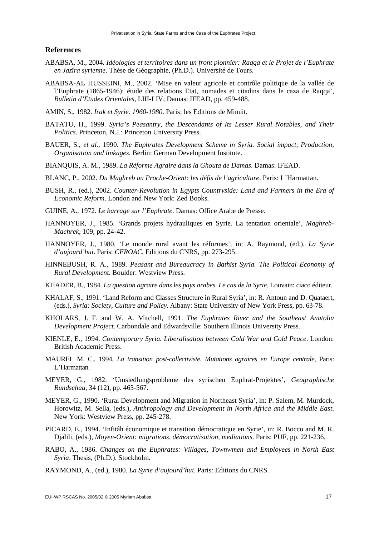#### **References**

- ABABSA, M., 2004. *Idéologies et territoires dans un front pionnier: Raqqa et le Projet de l'Euphrate en Jazîra syrienne*. Thèse de Géographie, (Ph.D.). Université de Tours.
- ABABSA-AL HUSSEINI, M., 2002. 'Mise en valeur agricole et contrôle politique de la vallée de l'Euphrate (1865-1946): étude des relations Etat, nomades et citadins dans le caza de Raqqa', *Bulletin d'Etudes Orientales*, LIII-LIV, Damas: IFEAD, pp. 459-488.
- AMIN, S., 1982. *Irak et Syrie. 1960-1980*. Paris: les Editions de Minuit.
- BATATU, H., 1999. *Syria's Peasantry, the Descendants of Its Lesser Rural Notables, and Their Politics*. Princeton, N.J.: Princeton University Press.
- BAUER, S., *et al.*, 1990. *The Euphrates Development Scheme in Syria. Social impact, Production, Organisation and linkages*. Berlin: German Development Institute.
- BIANQUIS, A. M., 1989. *La Réforme Agraire dans la Ghouta de Damas*. Damas: IFEAD.
- BLANC, P., 2002. *Du Maghreb au Proche-Orient: les défis de l'agriculture*. Paris: L'Harmattan.
- BUSH, R., (ed.), 2002. *Counter-Revolution in Egypts Countryside: Land and Farmers in the Era of Economic Reform*. London and New York: Zed Books.
- GUINE, A., 1972. *Le barrage sur l'Euphrate*. Damas: Office Arabe de Presse.
- HANNOYER, J., 1985. 'Grands projets hydrauliques en Syrie. La tentation orientale', *Maghreb-Machrek*, 109, pp. 24-42.
- HANNOYER, J., 1980. 'Le monde rural avant les réformes', in: A. Raymond, (ed.), *La Syrie d'aujourd'hui*. Paris: *CEROAC*, Editions du CNRS, pp. 273-295.
- HINNEBUSH, R. A., 1989. *Peasant and Bureaucracy in Bathist Syria. The Political Economy of Rural Development*. Boulder: Westview Press.
- KHADER, B., 1984. *La question agraire dans les pays arabes. Le cas de la Syrie*. Louvain: ciaco éditeur.
- KHALAF, S., 1991. 'Land Reform and Classes Structure in Rural Syria', in: R. Antoun and D. Quataert, (eds.), *Syria: Society, Culture and Policy*. Albany: State University of New York Press, pp. 63-78.
- KHOLARS, J. F. and W. A. Mitchell, 1991. *The Euphrates River and the Southeast Anatolia Development Project*. Carbondale and Edwardsville: Southern Illinois University Press.
- KIENLE, E., 1994. *Contemporary Syria. Liberalisation between Cold War and Cold Peace*. London: British Academic Press.
- MAUREL M. C., 1994, *La transition post-collectiviste. Mutations agraires en Europe centrale*, Paris: L'Harmattan.
- MEYER, G., 1982. 'Umsiedlungsprobleme des syrischen Euphrat-Projektes', *Geographische Rundschau*, 34 (12), pp. 465-567.
- MEYER, G., 1990. 'Rural Development and Migration in Northeast Syria', in: P. Salem, M. Murdock, Horowitz, M. Sella, (eds.), *Anthropology and Development in North Africa and the Middle East*. New York: Westview Press, pp. 245-278.
- PICARD, E., 1994. 'Infitâh économique et transition démocratique en Syrie', in: R. Bocco and M. R. Djalili, (eds.), *Moyen-Orient: migrations, démocratisation, mediations*. Paris: PUF, pp. 221-236.
- RABO, A., 1986. *Changes on the Euphrates: Villages, Townwmen and Employees in North East Syria*. Thesis, (Ph.D.). Stockholm.
- RAYMOND, A., (ed.), 1980. *La Syrie d'aujourd'hui*. Paris: Editions du CNRS.